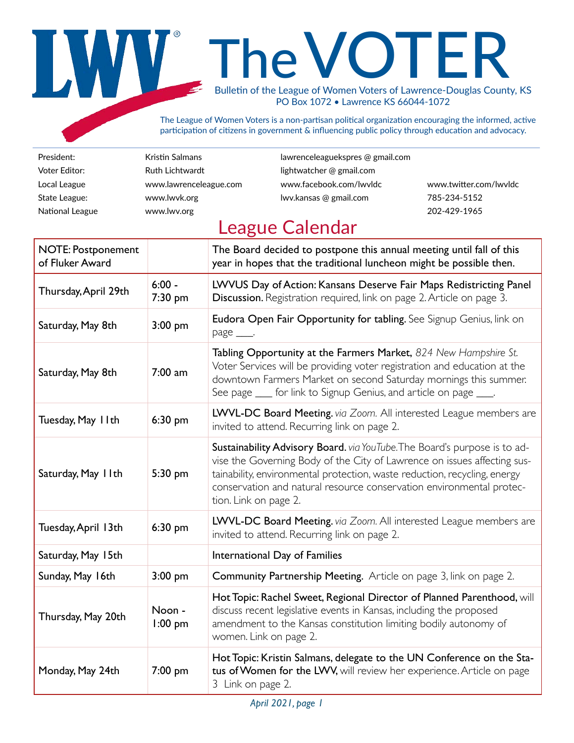# The VOTER Bulletin of the League of Women Voters of Lawrence-Douglas County, KS PO Box 1072 • Lawrence KS 66044-1072

The League of Women Voters is a non-partisan political organization encouraging the informed, active participation of citizens in government & influencing public policy through education and advocacy.

Voter Editor: **Ruth Lichtwardt lightwatcher @ gmail.com** National League [www.lwv.org](http://www.lwv.org) 202-429-1965

President: Kristin Salmans lawrenceleaguekspres @ gmail.com Local League [www.lawrenceleague.com](http://www.lawrenceleague.com) [www.facebook.com/lwvldc](http://www.facebook.com/lwvldc) [www.twitter.com/lwvldc](http://www.twitter.com/lwvldc) State League: [www.lwvk.org](http://www.lwvk.org) lwv.kansas @ gmail.com 785-234-5152

### League Calendar

| <b>NOTE: Postponement</b><br>of Fluker Award |                     | The Board decided to postpone this annual meeting until fall of this<br>year in hopes that the traditional luncheon might be possible then.                                                                                                                                                                                         |
|----------------------------------------------|---------------------|-------------------------------------------------------------------------------------------------------------------------------------------------------------------------------------------------------------------------------------------------------------------------------------------------------------------------------------|
| Thursday, April 29th                         | $6:00 -$<br>7:30 pm | LWVUS Day of Action: Kansans Deserve Fair Maps Redistricting Panel<br>Discussion. Registration required, link on page 2. Article on page 3.                                                                                                                                                                                         |
| Saturday, May 8th                            | $3:00$ pm           | Eudora Open Fair Opportunity for tabling. See Signup Genius, link on<br>page ____.                                                                                                                                                                                                                                                  |
| Saturday, May 8th                            | $7:00$ am           | Tabling Opportunity at the Farmers Market, 824 New Hampshire St.<br>Voter Services will be providing voter registration and education at the<br>downtown Farmers Market on second Saturday mornings this summer.<br>See page ____ for link to Signup Genius, and article on page ____.                                              |
| Tuesday, May IIth                            | 6:30 pm             | LWVL-DC Board Meeting. via Zoom. All interested League members are<br>invited to attend. Recurring link on page 2.                                                                                                                                                                                                                  |
| Saturday, May 11th                           | 5:30 pm             | Sustainability Advisory Board. via YouTube. The Board's purpose is to ad-<br>vise the Governing Body of the City of Lawrence on issues affecting sus-<br>tainability, environmental protection, waste reduction, recycling, energy<br>conservation and natural resource conservation environmental protec-<br>tion. Link on page 2. |
| Tuesday, April 13th                          | 6:30 pm             | LWVL-DC Board Meeting. via Zoom. All interested League members are<br>invited to attend. Recurring link on page 2.                                                                                                                                                                                                                  |
| Saturday, May 15th                           |                     | International Day of Families                                                                                                                                                                                                                                                                                                       |
| Sunday, May 16th                             | $3:00$ pm           | Community Partnership Meeting. Article on page 3, link on page 2.                                                                                                                                                                                                                                                                   |
| Thursday, May 20th                           | Noon -<br>$1:00$ pm | Hot Topic: Rachel Sweet, Regional Director of Planned Parenthood, will<br>discuss recent legislative events in Kansas, including the proposed<br>amendment to the Kansas constitution limiting bodily autonomy of<br>women. Link on page 2.                                                                                         |
| Monday, May 24th                             | 7:00 pm             | Hot Topic: Kristin Salmans, delegate to the UN Conference on the Sta-<br>tus of Women for the LWV, will review her experience. Article on page<br>3 Link on page 2.                                                                                                                                                                 |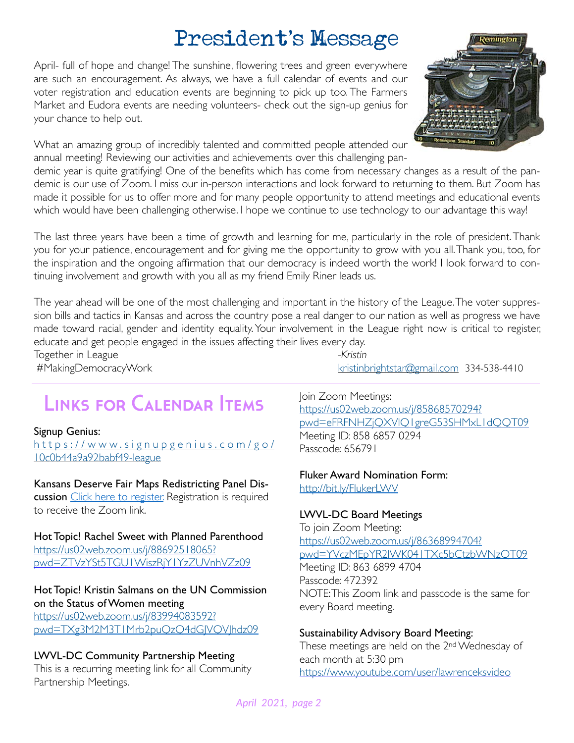## President's Message

April- full of hope and change! The sunshine, flowering trees and green everywhere are such an encouragement. As always, we have a full calendar of events and our voter registration and education events are beginning to pick up too. The Farmers Market and Eudora events are needing volunteers- check out the sign-up genius for your chance to help out.

What an amazing group of incredibly talented and committed people attended our annual meeting! Reviewing our activities and achievements over this challenging pan-

demic year is quite gratifying! One of the benefits which has come from necessary changes as a result of the pandemic is our use of Zoom. I miss our in-person interactions and look forward to returning to them. But Zoom has made it possible for us to offer more and for many people opportunity to attend meetings and educational events which would have been challenging otherwise. I hope we continue to use technology to our advantage this way!

The last three years have been a time of growth and learning for me, particularly in the role of president. Thank you for your patience, encouragement and for giving me the opportunity to grow with you all. Thank you, too, for the inspiration and the ongoing affirmation that our democracy is indeed worth the work! I look forward to continuing involvement and growth with you all as my friend Emily Riner leads us.

The year ahead will be one of the most challenging and important in the history of the League. The voter suppression bills and tactics in Kansas and across the country pose a real danger to our nation as well as progress we have made toward racial, gender and identity equality. Your involvement in the League right now is critical to register, educate and get people engaged in the issues affecting their lives every day. Together in League *-Kristin*

## Links for Calendar Items

#### Signup Genius:

[https://www.signupgenius.com/go/](https://www.signupgenius.com/go/10c0b44a9a92babf49-league) [10c0b44a9a92babf49-league](https://www.signupgenius.com/go/10c0b44a9a92babf49-league)

Kansans Deserve Fair Maps Redistricting Panel Dis-cussion [Click here to register.](https://forms.gle/a1AZs2bZxCkhxmyG8) Registration is required to receive the Zoom link.

Hot Topic! Rachel Sweet with Planned Parenthood [https://us02web.zoom.us/j/88692518065?](https://us02web.zoom.us/j/88692518065?pwd=ZTVzYSt5TGU1WiszRjY1YzZUVnhVZz09) [pwd=ZTVzYSt5TGU1WiszRjY1YzZUVnhVZz09](https://us02web.zoom.us/j/88692518065?pwd=ZTVzYSt5TGU1WiszRjY1YzZUVnhVZz09) 

#### Hot Topic! Kristin Salmans on the UN Commission on the Status of Women meeting [https://us02web.zoom.us/j/83994083592?](https://us02web.zoom.us/j/83994083592?pwd=TXg3M2M3T1Mrb2puQzQ4dGJVQVJhdz09)

[pwd=TXg3M2M3T1Mrb2puQzQ4dGJVQVJhdz09](https://us02web.zoom.us/j/83994083592?pwd=TXg3M2M3T1Mrb2puQzQ4dGJVQVJhdz09)

#### LWVL-DC Community Partnership Meeting

This is a recurring meeting link for all Community Partnership Meetings.

#MakingDemocracyWork [kristinbrightstar@gmail.com](mailto:kristinbrightstar@gmail.com) 334-538-4410

Join Zoom Meetings: https://us02web.zoom.us/j/85868570294? pwd=eFRFNHZjQXVlQ1greG53SHMxL1dQQT09 Meeting ID: 858 6857 0294 Passcode: 656791

### Fluker Award Nomination Form:

<http://bit.ly/FlukerLWV>

#### LWVL-DC Board Meetings

To join Zoom Meeting: [https://us02web.zoom.us/j/86368994704?](https://us02web.zoom.us/j/86368994704?pwd=YVczMEpYR2lWK041TXc5bCtzbWNzQT09) [pwd=YVczMEpYR2lWK041TXc5bCtzbWNzQT09](https://us02web.zoom.us/j/86368994704?pwd=YVczMEpYR2lWK041TXc5bCtzbWNzQT09) Meeting ID: 863 6899 4704 Passcode: 472392 NOTE: This Zoom link and passcode is the same for every Board meeting.

#### Sustainability Advisory Board Meeting:

These meetings are held on the 2nd Wednesday of each month at 5:30 pm <https://www.youtube.com/user/lawrenceksvideo>

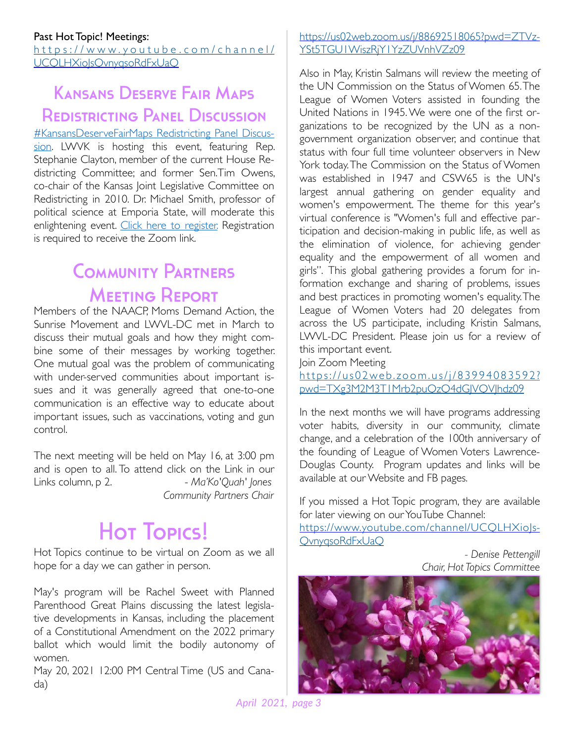[https://www.youtube.com/channel/](https://www.youtube.com/channel/UCQLHXioJsQvnyqsoRdFxUaQ) UCQLHXiolsOvnyqsoRdFxUaO

### Kansans Deserve Fair Maps Redistricting Panel Discussion

#### [#KansansDeserveFairMaps Redistricting Panel Discus](https://fb.me/e/5eJwGE4IA)-

[sion.](https://fb.me/e/5eJwGE4IA) LWVK is hosting this event, featuring Rep. Stephanie Clayton, member of the current House Redistricting Committee; and former Sen.Tim Owens, co-chair of the Kansas Joint Legislative Committee on Redistricting in 2010. Dr. Michael Smith, professor of political science at Emporia State, will moderate this enlightening event. [Click here to register.](https://forms.gle/a1AZs2bZxCkhxmyG8) Registration is required to receive the Zoom link.

### **COMMUNITY PARTNERS MEETING REPORT**

Members of the NAACP, Moms Demand Action, the Sunrise Movement and LWVL-DC met in March to discuss their mutual goals and how they might combine some of their messages by working together. One mutual goal was the problem of communicating with under-served communities about important issues and it was generally agreed that one-to-one communication is an effective way to educate about important issues, such as vaccinations, voting and gun control.

The next meeting will be held on May 16, at 3:00 pm and is open to all. To attend click on the Link in our Links column, p 2. - *Ma'Ko'Quah' Jones Community Partners Chair* 

# Hot Topics!

Hot Topics continue to be virtual on Zoom as we all hope for a day we can gather in person.

May's program will be Rachel Sweet with Planned Parenthood Great Plains discussing the latest legislative developments in Kansas, including the placement of a Constitutional Amendment on the 2022 primary ballot which would limit the bodily autonomy of women.

May 20, 2021 12:00 PM Central Time (US and Canada)

#### [https://us02web.zoom.us/j/88692518065?pwd=ZTVz](https://us02web.zoom.us/j/88692518065?pwd=ZTVzYSt5TGU1WiszRjY1YzZUVnhVZz09)-YSt5TGU1WiszRjY1YzZUVnhVZz09

Also in May, Kristin Salmans will review the meeting of the UN Commission on the Status of Women 65. The League of Women Voters assisted in founding the United Nations in 1945. We were one of the first organizations to be recognized by the UN as a nongovernment organization observer, and continue that status with four full time volunteer observers in New York today. The Commission on the Status of Women was established in 1947 and CSW65 is the UN's largest annual gathering on gender equality and women's empowerment. The theme for this year's virtual conference is "Women's full and effective participation and decision-making in public life, as well as the elimination of violence, for achieving gender equality and the empowerment of all women and girls". This global gathering provides a forum for information exchange and sharing of problems, issues and best practices in promoting women's equality. The League of Women Voters had 20 delegates from across the US participate, including Kristin Salmans, LWVL-DC President. Please join us for a review of this important event.

Join Zoom Meeting

[https://us02web.zoom.us/j/83994083592?](https://us02web.zoom.us/j/83994083592?pwd=TXg3M2M3T1Mrb2puQzQ4dGJVQVJhdz09) [pwd=TXg3M2M3T1Mrb2puQzQ4dGJVQVJhdz09](https://us02web.zoom.us/j/83994083592?pwd=TXg3M2M3T1Mrb2puQzQ4dGJVQVJhdz09)

In the next months we will have programs addressing voter habits, diversity in our community, climate change, and a celebration of the 100th anniversary of the founding of League of Women Voters Lawrence-Douglas County. Program updates and links will be available at our Website and FB pages.

If you missed a Hot Topic program, they are available for later viewing on our YouTube Channel:

[https://www.youtube.com/channel/UCQLHXioJs](https://www.youtube.com/channel/UCQLHXioJsQvnyqsoRdFxUaQ)-[QvnyqsoRdFxUaQ](https://www.youtube.com/channel/UCQLHXioJsQvnyqsoRdFxUaQ)

> *- Denise Pettengill Chair, Hot Topics Committee*

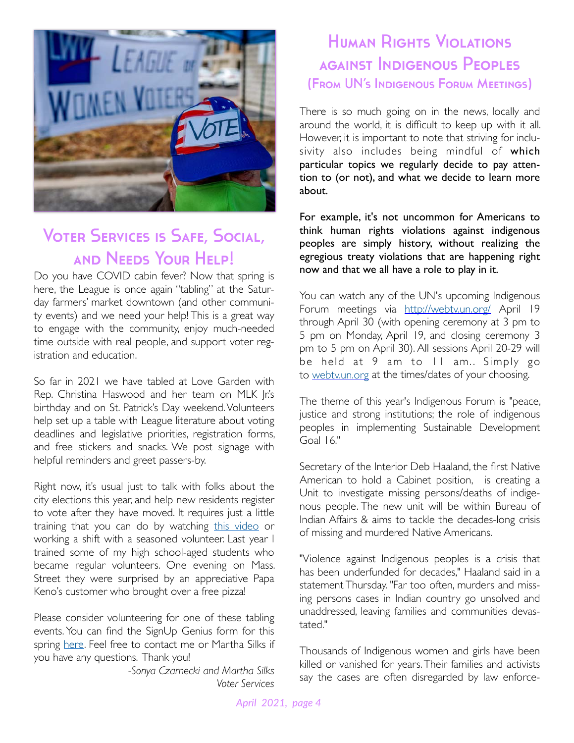

### Voter Services is Safe, Social, and Needs Your Help!

Do you have COVID cabin fever? Now that spring is here, the League is once again "tabling" at the Saturday farmers' market downtown (and other community events) and we need your help! This is a great way to engage with the community, enjoy much-needed time outside with real people, and support voter registration and education.

So far in 2021 we have tabled at Love Garden with Rep. Christina Haswood and her team on MLK |r's birthday and on St. Patrick's Day weekend. Volunteers help set up a table with League literature about voting deadlines and legislative priorities, registration forms, and free stickers and snacks. We post signage with helpful reminders and greet passers-by.

Right now, it's usual just to talk with folks about the city elections this year, and help new residents register to vote after they have moved. It requires just a little training that you can do by watching [this video](https://www.loom.com/share/974a958df1034761a1838c019005d739) or working a shift with a seasoned volunteer. Last year I trained some of my high school-aged students who became regular volunteers. One evening on Mass. Street they were surprised by an appreciative Papa Keno's customer who brought over a free pizza!

Please consider volunteering for one of these tabling events. You can find the SignUp Genius form for this spring [here](https://www.signupgenius.com/go/10c0b44a9a92babf49-league). Feel free to contact me or Martha Silks if you have any questions. Thank you!

> *-Sonya Czarnecki and Martha Silks Voter Services*

### Human Rights Violations against Indigenous Peoples (From UN's Indigenous Forum Meetings)

There is so much going on in the news, locally and around the world, it is difficult to keep up with it all. However, it is important to note that striving for inclusivity also includes being mindful of which particular topics we regularly decide to pay attention to (or not), and what we decide to learn more about.

For example, it's not uncommon for Americans to think human rights violations against indigenous peoples are simply history, without realizing the egregious treaty violations that are happening right now and that we all have a role to play in it.

You can watch any of the UN's upcoming Indigenous Forum meetings via <http://webtv.un.org/> April 19 through April 30 (with opening ceremony at 3 pm to 5 pm on Monday, April 19, and closing ceremony 3 pm to 5 pm on April 30). All sessions April 20-29 will be held at 9 am to 11 am.. Simply go to [webtv.un.org](http://webtv.un.org/) at the times/dates of your choosing.

The theme of this year's Indigenous Forum is "peace, justice and strong institutions; the role of indigenous peoples in implementing Sustainable Development Goal 16."

Secretary of the Interior Deb Haaland, the first Native American to hold a Cabinet position, is creating a Unit to investigate missing persons/deaths of indigenous people. The new unit will be within Bureau of Indian Affairs & aims to tackle the decades-long crisis of missing and murdered Native Americans.

"Violence against Indigenous peoples is a crisis that has been underfunded for decades," Haaland said in a statement Thursday. "Far too often, murders and missing persons cases in Indian country go unsolved and unaddressed, leaving families and communities devastated."

Thousands of Indigenous women and girls have been killed or vanished for years. Their families and activists say the cases are often disregarded by law enforce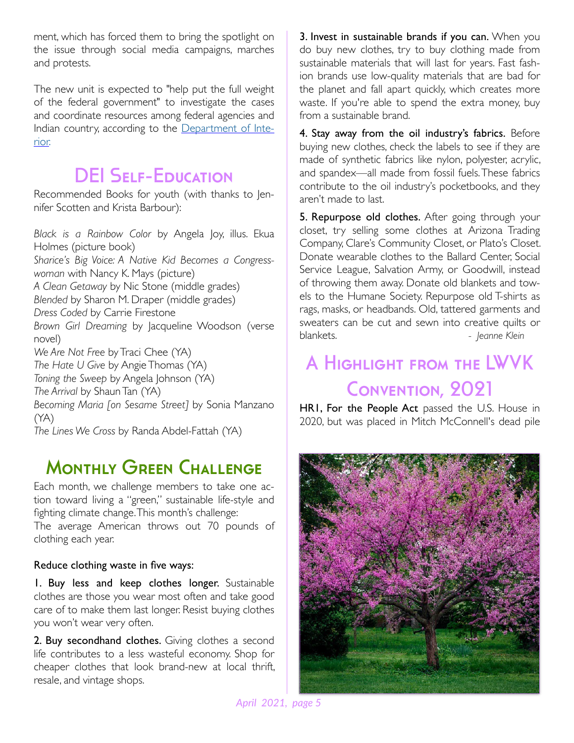ment, which has forced them to bring the spotlight on the issue through social media campaigns, marches and protests.

The new unit is expected to "help put the full weight of the federal government" to investigate the cases and coordinate resources among federal agencies and Indian country, according to the [Department of Inte](https://www.doi.gov/news/secretary-haaland-creates-new-missing-murdered-unit-pursue-justice-missing-or-murdered-american)[rior.](https://www.doi.gov/news/secretary-haaland-creates-new-missing-murdered-unit-pursue-justice-missing-or-murdered-american)

### **DEI SELF-EDUCATION**

Recommended Books for youth (with thanks to Jennifer Scotten and Krista Barbour):

*Black is a Rainbow Color* by Angela Joy, illus. Ekua Holmes (picture book) *Sharice's Big Voice: A Native Kid Becomes a Congresswoman* with Nancy K. Mays (picture) *A Clean Getaway* by Nic Stone (middle grades) *Blended* by Sharon M. Draper (middle grades) *Dress Coded* by Carrie Firestone *Brown Girl Dreaming* by Jacqueline Woodson (verse novel) *We Are Not Free* by Traci Chee (YA) *The Hate U Give* by Angie Thomas (YA) *Toning the Sweep* by Angela Johnson (YA) *The Arrival* by Shaun Tan (YA) *Becoming Maria [on Sesame Street]* by Sonia Manzano (YA) *The Lines We Cross* by Randa Abdel-Fattah (YA)

### **MONTHLY GREEN CHALLENGE**

Each month, we challenge members to take one action toward living a "green," sustainable life-style and fighting climate change. This month's challenge: The average American throws out 70 pounds of clothing each year.

#### Reduce clothing waste in five ways:

1. Buy less and keep clothes longer. Sustainable clothes are those you wear most often and take good care of to make them last longer. Resist buying clothes you won't wear very often.

2. Buy secondhand clothes. Giving clothes a second life contributes to a less wasteful economy. Shop for cheaper clothes that look brand-new at local thrift, resale, and vintage shops.

3. Invest in sustainable brands if you can. When you do buy new clothes, try to buy clothing made from sustainable materials that will last for years. Fast fashion brands use low-quality materials that are bad for the planet and fall apart quickly, which creates more waste. If you're able to spend the extra money, buy from a sustainable brand.

4. Stay away from the oil industry's fabrics. Before buying new clothes, check the labels to see if they are made of synthetic fabrics like nylon, polyester, acrylic, and spandex—all made from fossil fuels. These fabrics contribute to the oil industry's pocketbooks, and they aren't made to last.

5. Repurpose old clothes. After going through your closet, try selling some clothes at Arizona Trading Company, Clare's Community Closet, or Plato's Closet. Donate wearable clothes to the Ballard Center, Social Service League, Salvation Army, or Goodwill, instead of throwing them away. Donate old blankets and towels to the Humane Society. Repurpose old T-shirts as rags, masks, or headbands. Old, tattered garments and sweaters can be cut and sewn into creative quilts or blankets. *a - Jeanne Klein* 

### A Highlight from the LWVK Convention, 2021

HR1, For the People Act passed the U.S. House in 2020, but was placed in Mitch McConnell's dead pile

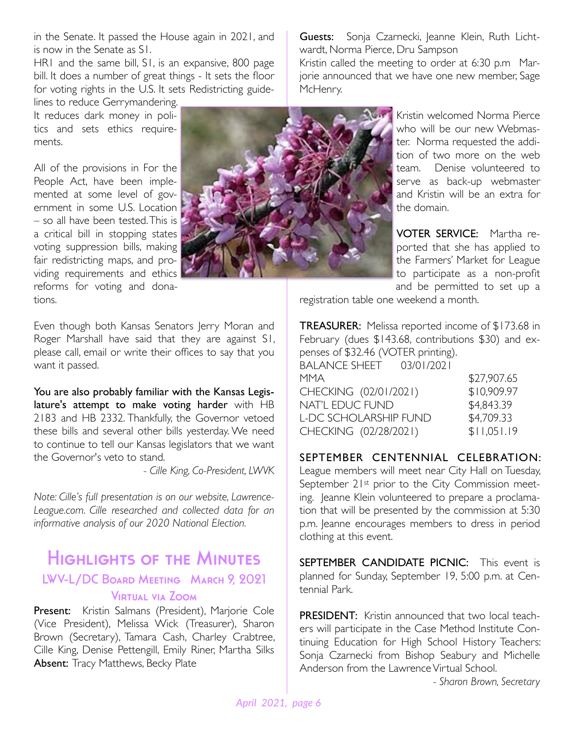in the Senate. It passed the House again in 2021, and is now in the Senate as S1.

HR1 and the same bill, S1, is an expansive, 800 page bill. It does a number of great things - It sets the floor for voting rights in the U.S. It sets Redistricting guide-

lines to reduce Gerrymandering. It reduces dark money in politics and sets ethics requirements.

All of the provisions in For the People Act, have been implemented at some level of government in some U.S. Location  $-$  so all have been tested. This is  $\mathbb{I}$ a critical bill in stopping states voting suppression bills, making fair redistricting maps, and providing requirements and ethics reforms for voting and donations.



Guests: Sonja Czarnecki, Jeanne Klein, Ruth Lichtwardt, Norma Pierce, Dru Sampson

Kristin called the meeting to order at 6:30 p.m Marjorie announced that we have one new member, Sage McHenry.

> Kristin welcomed Norma Pierce who will be our new Webmaster. Norma requested the addition of two more on the web team. Denise volunteered to serve as back-up webmaster and Kristin will be an extra for the domain.

> VOTER SERVICE: Martha reported that she has applied to the Farmers' Market for League to participate as a non-profit and be permitted to set up a

registration table one weekend a month.

Even though both Kansas Senators Jerry Moran and Roger Marshall have said that they are against S1, please call, email or write their offices to say that you want it passed.

You are also probably familiar with the Kansas Legislature's attempt to make voting harder with HB 2183 and HB 2332. Thankfully, the Governor vetoed these bills and several other bills yesterday. We need to continue to tell our Kansas legislators that we want the Governor's veto to stand.

*- Cille King, Co-President, LWVK* 

*Note: Cille's full presentation is on our website, Lawrence-League.com. Cille researched and collected data for an informative analysis of our 2020 National Election.* 

### Highlights of the Minutes LWV-L/DC Board Meeting March 9, 2021 Virtual via Zoom

Present: Kristin Salmans (President), Marjorie Cole (Vice President), Melissa Wick (Treasurer), Sharon Brown (Secretary), Tamara Cash, Charley Crabtree, Cille King, Denise Pettengill, Emily Riner, Martha Silks Absent: Tracy Matthews, Becky Plate

TREASURER: Melissa reported income of \$173.68 in February (dues \$143.68, contributions \$30) and expenses of \$32.46 (VOTER printing).

| BALANCE SHEET         | 03/01/2021 |             |
|-----------------------|------------|-------------|
| MMA                   |            | \$27,907.65 |
| CHECKING (02/01/2021) |            | \$10,909.97 |
| NAT'L EDUC FUND       |            | \$4,843.39  |
| L-DC SCHOLARSHIP FUND |            | \$4,709.33  |
| CHECKING (02/28/2021) |            | \$11,051.19 |
|                       |            |             |

SEPTEMBER CENTENNIAL CELEBRATION:

League members will meet near City Hall on Tuesday, September 21st prior to the City Commission meeting. Jeanne Klein volunteered to prepare a proclamation that will be presented by the commission at 5:30 p.m. Jeanne encourages members to dress in period clothing at this event.

SEPTEMBER CANDIDATE PICNIC: This event is planned for Sunday, September 19, 5:00 p.m. at Centennial Park.

PRESIDENT: Kristin announced that two local teachers will participate in the Case Method Institute Continuing Education for High School History Teachers: Sonja Czarnecki from Bishop Seabury and Michelle Anderson from the Lawrence Virtual School.

*- Sharon Brown, Secretary*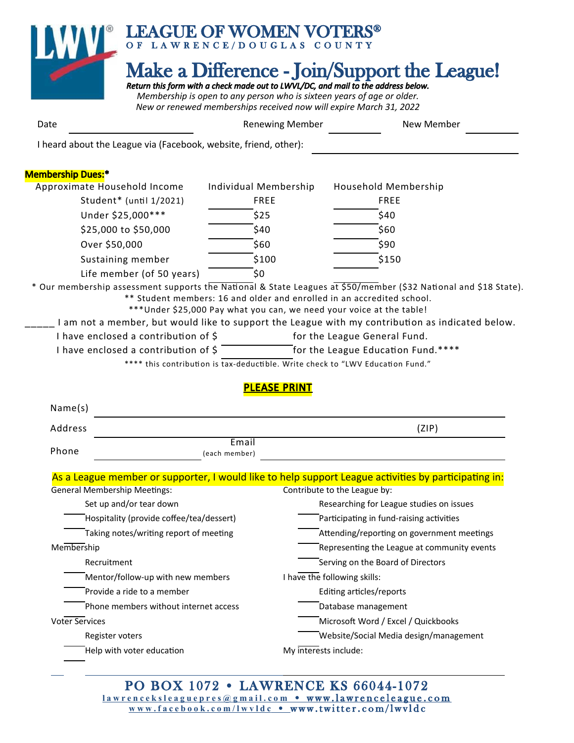

| Date                                                             | <b>Renewing Member</b> | New Member |
|------------------------------------------------------------------|------------------------|------------|
| I heard about the League via (Facebook, website, friend, other): |                        |            |

#### Membership Dues:\*

| Approximate Household Income | Individual Membership | Household Membership                                                                                                   |  |
|------------------------------|-----------------------|------------------------------------------------------------------------------------------------------------------------|--|
| Student* (until 1/2021)      | <b>FREE</b>           | <b>FREE</b>                                                                                                            |  |
| Under \$25,000***            | \$25                  | \$40                                                                                                                   |  |
| \$25,000 to \$50,000         | \$40                  | \$60                                                                                                                   |  |
| Over \$50,000                | \$60                  | \$90                                                                                                                   |  |
| Sustaining member            | \$100                 | \$150                                                                                                                  |  |
| Life member (of 50 years)    | S0                    |                                                                                                                        |  |
|                              |                       | $*$ Our mambership assessment supports the National & State Leagues at $\frac{1}{550}$ /member (532 National and 518 S |  |

Vational & State Leagues at \$50/member (\$32 National and \$18 State). \*\* Student members: 16 and older and enrolled in an accredited school.

- \*\*\*Under \$25,000 Pay what you can, we need your voice at the table!
- I am not a member, but would like to support the League with my contribution as indicated below.
- I have enclosed a contribution of  $\zeta$  for the League General Fund.
- I have enclosed a contribution of  $\frac{2}{5}$  for the League Education Fund.\*\*\*\*

\*\*\*\* this contribution is tax-deductible. Write check to "LWV Education Fund."

#### PLEASE PRINT

| Name(s) |                        |       |
|---------|------------------------|-------|
| Address |                        | (ZIP) |
| Phone   | Email<br>(each member) |       |

#### As a League member or supporter, I would like to help support League activities by participating in:<br>Canaral Mambarakia Mastings Coneral Membership Meetings:

| General Membership Meetings:             | Contribute to the League by:                |
|------------------------------------------|---------------------------------------------|
| Set up and/or tear down                  | Researching for League studies on issues    |
| Hospitality (provide coffee/tea/dessert) | Participating in fund-raising activities    |
| Taking notes/writing report of meeting   | Attending/reporting on government meetings  |
| Membership                               | Representing the League at community events |
| Recruitment                              | Serving on the Board of Directors           |
| Mentor/follow-up with new members        | have the following skills:                  |
| Provide a ride to a member               | Editing articles/reports                    |
| Phone members without internet access    | Database management                         |
| <b>Voter Services</b>                    | Microsoft Word / Excel / Quickbooks         |
| Register voters                          | Website/Social Media design/management      |
| Help with voter education                | My interests include:                       |
|                                          |                                             |